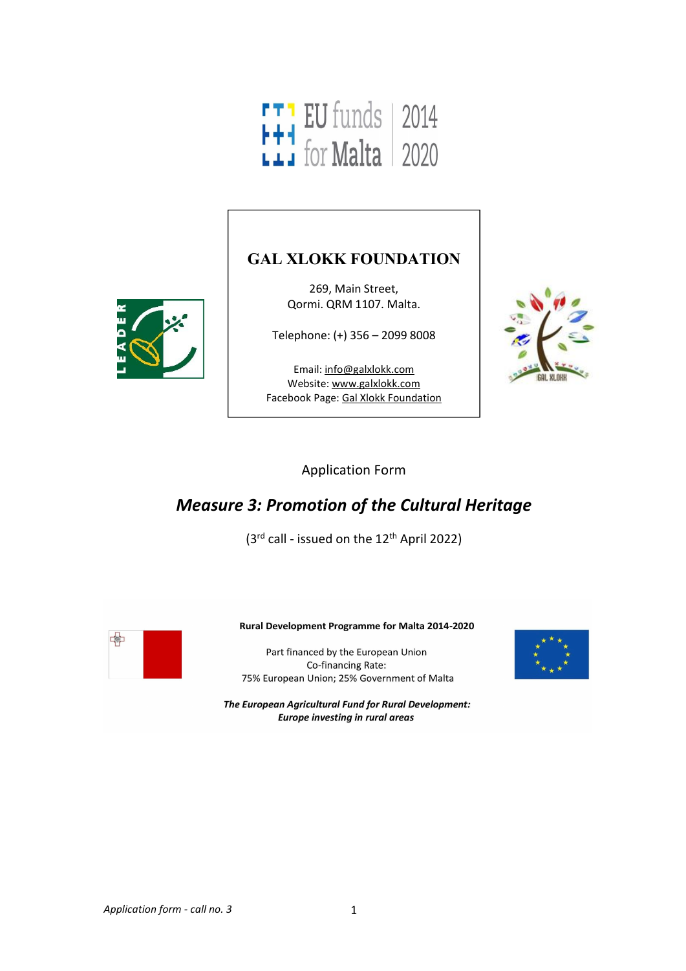

### **GAL XLOKK FOUNDATION**

269, Main Street, Qormi. QRM 1107. Malta.

Telephone: (+) 356 – 2099 8008

Email: [info@galxlokk.com](mailto:info@galxlokk.com) Website: [www.galxlokk.com](http://www.galxlokk.com) Facebook Page: Gal Xlokk [Foundation](https://www.facebook.com/galxlokk/)



Application Form

# *Measure 3: Promotion of the Cultural Heritage*

(3<sup>rd</sup> call - issued on the 12<sup>th</sup> April 2022)



#### Rural Development Programme for Malta 2014-2020

Part financed by the European Union Co-financing Rate: 75% European Union; 25% Government of Malta

The European Agricultural Fund for Rural Development: **Europe investing in rural areas** 

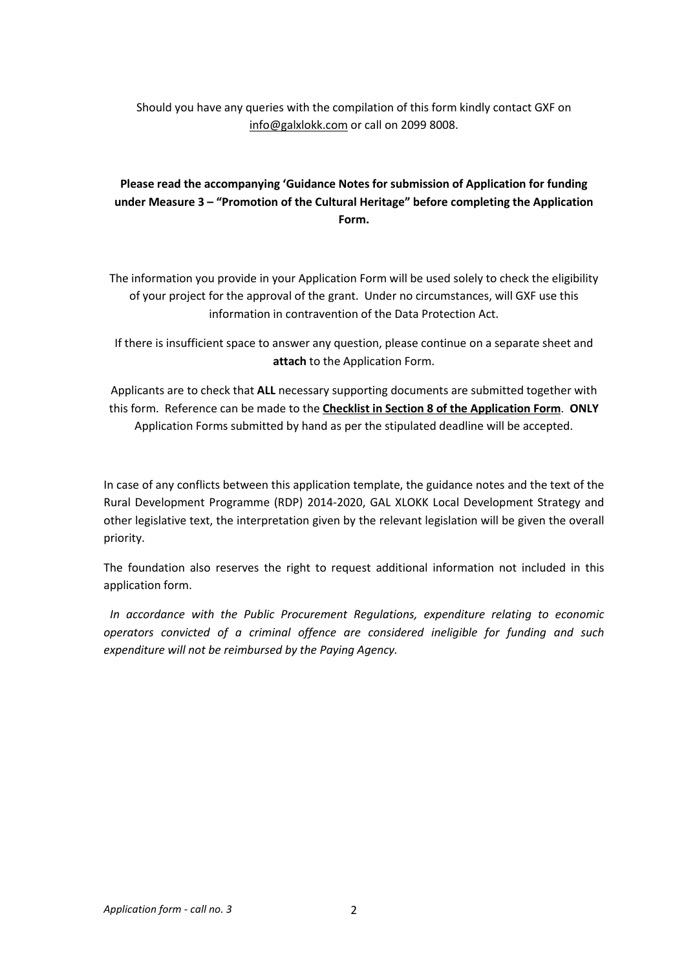Should you have any queries with the compilation of this form kindly contact GXF on info@galxlokk.com or call on 2099 8008.

### **Please read the accompanying 'Guidance Notes for submission of Application for funding under Measure 3 – "Promotion of the Cultural Heritage" before completing the Application Form.**

The information you provide in your Application Form will be used solely to check the eligibility of your project for the approval of the grant. Under no circumstances, will GXF use this information in contravention of the Data Protection Act.

If there is insufficient space to answer any question, please continue on a separate sheet and **attach** to the Application Form.

Applicants are to check that **ALL** necessary supporting documents are submitted together with this form. Reference can be made to the **Checklist in Section 8 of the Application Form**. **ONLY** Application Forms submitted by hand as per the stipulated deadline will be accepted.

In case of any conflicts between this application template, the guidance notes and the text of the Rural Development Programme (RDP) 2014-2020, GAL XLOKK Local Development Strategy and other legislative text, the interpretation given by the relevant legislation will be given the overall priority.

The foundation also reserves the right to request additional information not included in this application form.

*In accordance with the Public Procurement Regulations, expenditure relating to economic operators convicted of a criminal offence are considered ineligible for funding and such expenditure will not be reimbursed by the Paying Agency.*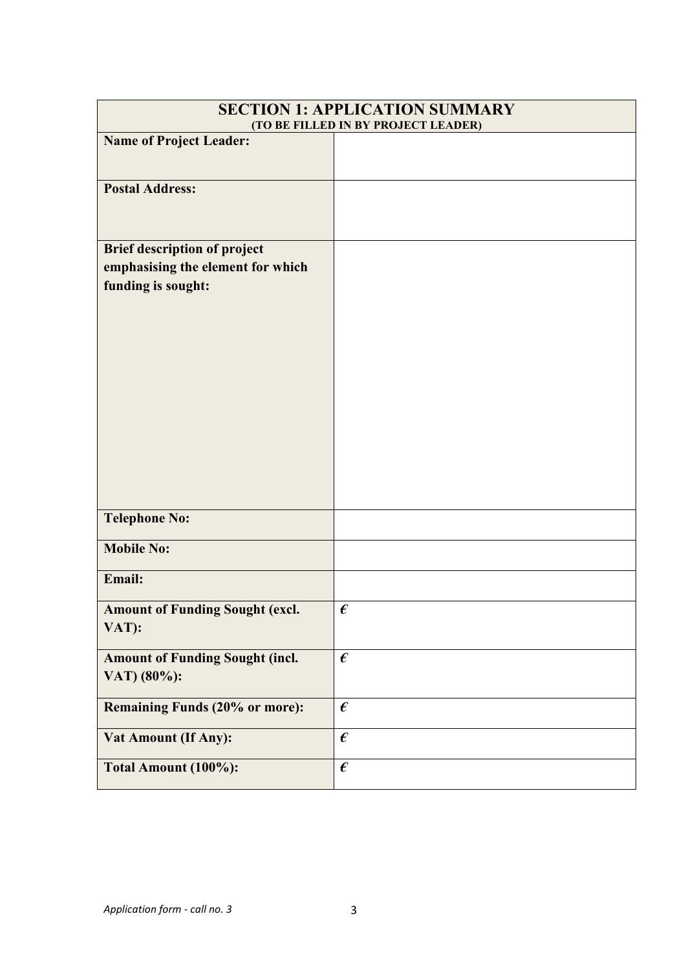| <b>SECTION 1: APPLICATION SUMMARY</b><br>(TO BE FILLED IN BY PROJECT LEADER)                   |                         |  |
|------------------------------------------------------------------------------------------------|-------------------------|--|
| <b>Name of Project Leader:</b>                                                                 |                         |  |
| <b>Postal Address:</b>                                                                         |                         |  |
| <b>Brief description of project</b><br>emphasising the element for which<br>funding is sought: |                         |  |
| <b>Telephone No:</b>                                                                           |                         |  |
| <b>Mobile No:</b>                                                                              |                         |  |
| Email:                                                                                         |                         |  |
| <b>Amount of Funding Sought (excl.</b><br>VAT):                                                | $\pmb{\epsilon}$        |  |
| <b>Amount of Funding Sought (incl.</b><br>VAT) (80%):                                          | $\boldsymbol{\epsilon}$ |  |
| <b>Remaining Funds (20% or more):</b>                                                          | $\pmb{\epsilon}$        |  |
| <b>Vat Amount (If Any):</b>                                                                    | $\pmb{\epsilon}$        |  |
| Total Amount (100%):                                                                           | $\pmb{\epsilon}$        |  |
|                                                                                                |                         |  |

### *Application form - call no. 3* 3

 $\mathsf{r}$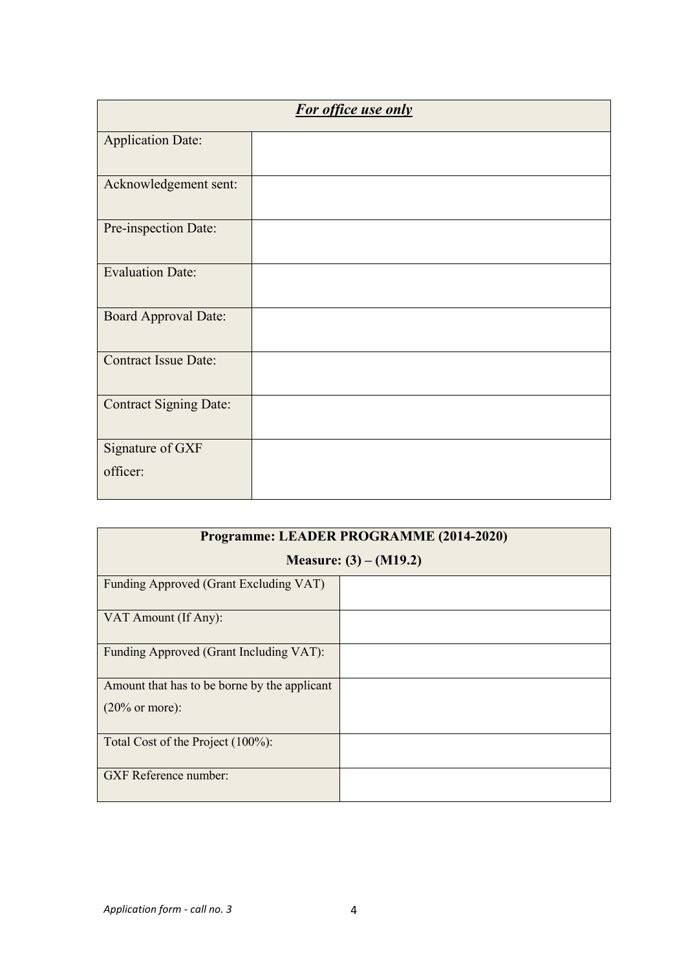| For office use only           |  |  |
|-------------------------------|--|--|
| <b>Application Date:</b>      |  |  |
| Acknowledgement sent:         |  |  |
| Pre-inspection Date:          |  |  |
| <b>Evaluation Date:</b>       |  |  |
| <b>Board Approval Date:</b>   |  |  |
| <b>Contract Issue Date:</b>   |  |  |
| <b>Contract Signing Date:</b> |  |  |
| Signature of GXF              |  |  |
| officer:                      |  |  |

| Programme: LEADER PROGRAMME (2014-2020)      |                          |  |
|----------------------------------------------|--------------------------|--|
|                                              | Measure: $(3) - (M19.2)$ |  |
| Funding Approved (Grant Excluding VAT)       |                          |  |
| VAT Amount (If Any):                         |                          |  |
| Funding Approved (Grant Including VAT):      |                          |  |
| Amount that has to be borne by the applicant |                          |  |
| $(20\% \text{ or more})$ :                   |                          |  |
| Total Cost of the Project (100%):            |                          |  |
| <b>GXF</b> Reference number:                 |                          |  |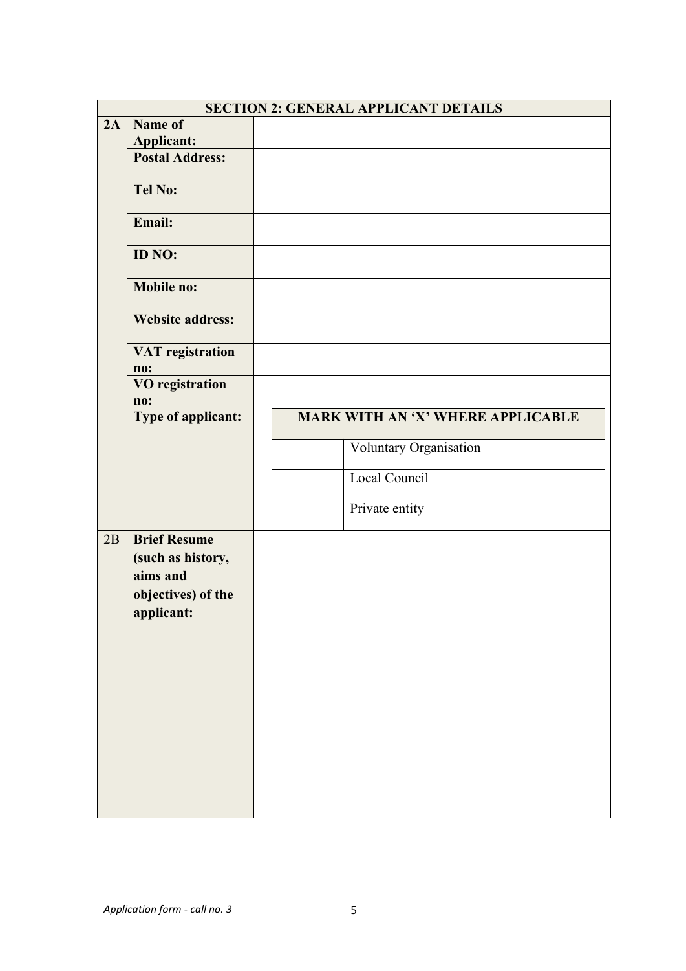|    |                                                                                          | <b>SECTION 2: GENERAL APPLICANT DETAILS</b> |
|----|------------------------------------------------------------------------------------------|---------------------------------------------|
| 2A | Name of<br><b>Applicant:</b>                                                             |                                             |
|    | <b>Postal Address:</b>                                                                   |                                             |
|    | <b>Tel No:</b>                                                                           |                                             |
|    | Email:                                                                                   |                                             |
|    | ID NO:                                                                                   |                                             |
|    | <b>Mobile no:</b>                                                                        |                                             |
|    | <b>Website address:</b>                                                                  |                                             |
|    | <b>VAT</b> registration<br>no:                                                           |                                             |
|    | <b>VO</b> registration<br>no:                                                            |                                             |
|    | Type of applicant:                                                                       | MARK WITH AN 'X' WHERE APPLICABLE           |
|    |                                                                                          | Voluntary Organisation                      |
|    |                                                                                          | Local Council                               |
|    |                                                                                          | Private entity                              |
| 2B | <b>Brief Resume</b><br>(such as history,<br>aims and<br>objectives) of the<br>applicant: |                                             |
|    |                                                                                          |                                             |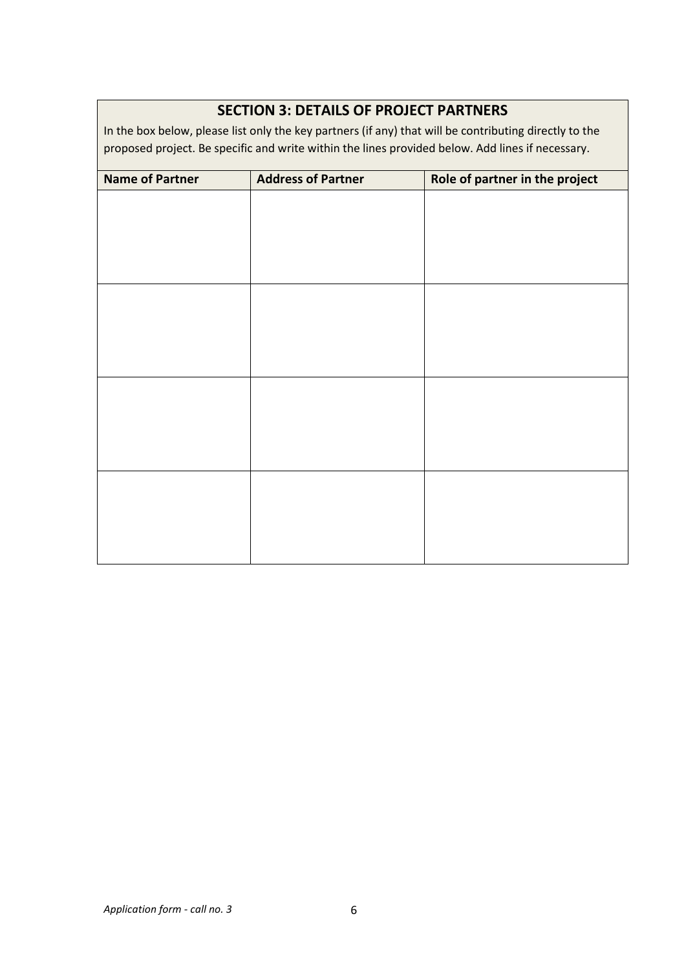| <b>Name of Partner</b> | <b>Address of Partner</b> | Role of partner in the project |
|------------------------|---------------------------|--------------------------------|
|                        |                           |                                |
|                        |                           |                                |
|                        |                           |                                |
|                        |                           |                                |
|                        |                           |                                |
|                        |                           |                                |
|                        |                           |                                |
|                        |                           |                                |
|                        |                           |                                |
|                        |                           |                                |
|                        |                           |                                |
|                        |                           |                                |
|                        |                           |                                |
|                        |                           |                                |
|                        |                           |                                |
|                        |                           |                                |

### **SECTION 3: DETAILS OF PROJECT PARTNERS**

In the box below, please list only the key partners (if any) that will be contributing directly to the proposed project. Be specific and write within the lines provided below. Add lines if necessary.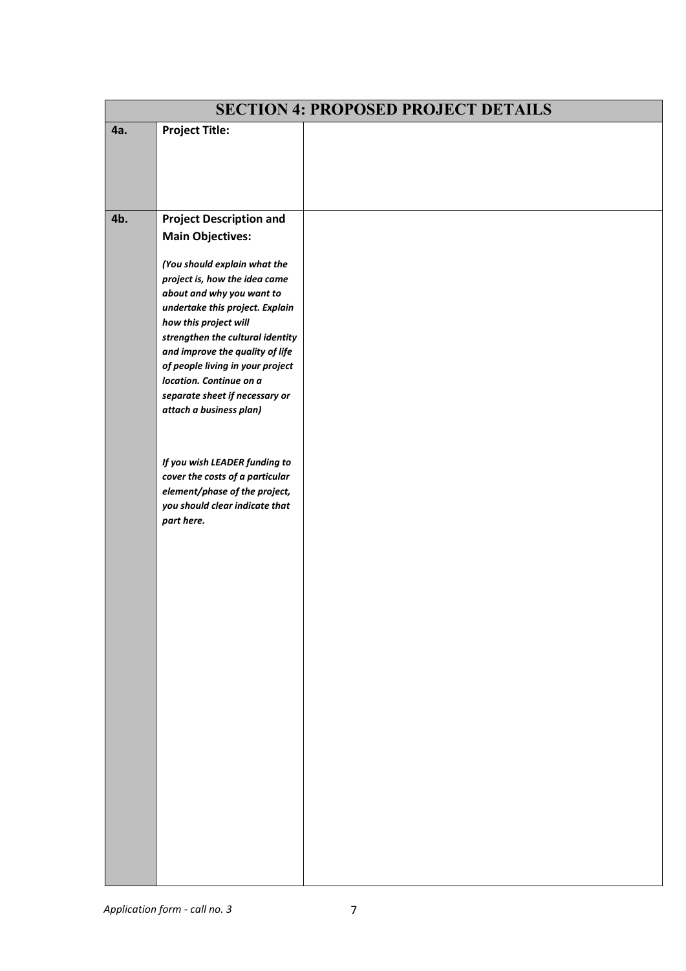| <b>SECTION 4: PROPOSED PROJECT DETAILS</b> |                                                                     |  |  |
|--------------------------------------------|---------------------------------------------------------------------|--|--|
| 4a.                                        | <b>Project Title:</b>                                               |  |  |
|                                            |                                                                     |  |  |
|                                            |                                                                     |  |  |
|                                            |                                                                     |  |  |
|                                            |                                                                     |  |  |
| 4b.                                        | <b>Project Description and</b>                                      |  |  |
|                                            | <b>Main Objectives:</b>                                             |  |  |
|                                            | (You should explain what the                                        |  |  |
|                                            | project is, how the idea came                                       |  |  |
|                                            | about and why you want to                                           |  |  |
|                                            | undertake this project. Explain                                     |  |  |
|                                            | how this project will                                               |  |  |
|                                            | strengthen the cultural identity<br>and improve the quality of life |  |  |
|                                            | of people living in your project                                    |  |  |
|                                            | location. Continue on a                                             |  |  |
|                                            | separate sheet if necessary or                                      |  |  |
|                                            | attach a business plan)                                             |  |  |
|                                            |                                                                     |  |  |
|                                            |                                                                     |  |  |
|                                            | If you wish LEADER funding to                                       |  |  |
|                                            | cover the costs of a particular                                     |  |  |
|                                            | element/phase of the project,<br>you should clear indicate that     |  |  |
|                                            | part here.                                                          |  |  |
|                                            |                                                                     |  |  |
|                                            |                                                                     |  |  |
|                                            |                                                                     |  |  |
|                                            |                                                                     |  |  |
|                                            |                                                                     |  |  |
|                                            |                                                                     |  |  |
|                                            |                                                                     |  |  |
|                                            |                                                                     |  |  |
|                                            |                                                                     |  |  |
|                                            |                                                                     |  |  |
|                                            |                                                                     |  |  |
|                                            |                                                                     |  |  |
|                                            |                                                                     |  |  |
|                                            |                                                                     |  |  |
|                                            |                                                                     |  |  |
|                                            |                                                                     |  |  |
|                                            |                                                                     |  |  |
|                                            |                                                                     |  |  |
|                                            |                                                                     |  |  |
|                                            |                                                                     |  |  |
|                                            |                                                                     |  |  |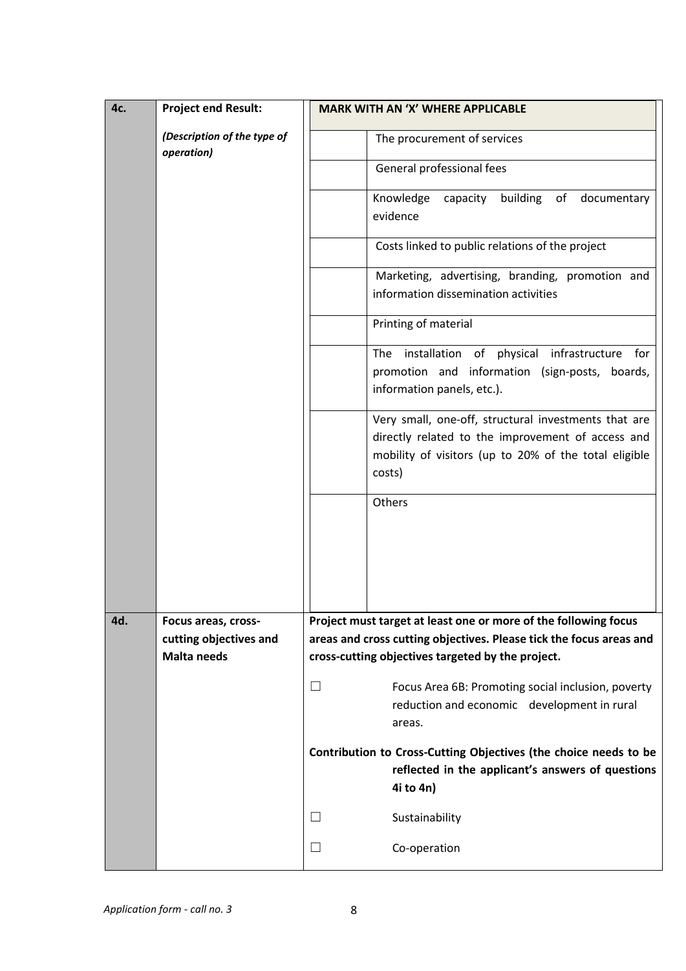| 4c. | <b>Project end Result:</b>                | <b>MARK WITH AN 'X' WHERE APPLICABLE</b>                                                                                                                                     |
|-----|-------------------------------------------|------------------------------------------------------------------------------------------------------------------------------------------------------------------------------|
|     | (Description of the type of<br>operation) | The procurement of services                                                                                                                                                  |
|     |                                           | General professional fees                                                                                                                                                    |
|     |                                           | Knowledge capacity building of documentary<br>evidence                                                                                                                       |
|     |                                           | Costs linked to public relations of the project                                                                                                                              |
|     |                                           | Marketing, advertising, branding, promotion and<br>information dissemination activities                                                                                      |
|     |                                           | Printing of material                                                                                                                                                         |
|     |                                           | The installation of physical infrastructure for<br>promotion and information (sign-posts, boards,<br>information panels, etc.).                                              |
|     |                                           | Very small, one-off, structural investments that are<br>directly related to the improvement of access and<br>mobility of visitors (up to 20% of the total eligible<br>costs) |
|     |                                           | Others                                                                                                                                                                       |
| 4d. | Focus areas, cross-                       | Project must target at least one or more of the following focus                                                                                                              |
|     | cutting objectives and                    | areas and cross cutting objectives. Please tick the focus areas and                                                                                                          |
|     | <b>Malta needs</b>                        | cross-cutting objectives targeted by the project.                                                                                                                            |
|     |                                           | Focus Area 6B: Promoting social inclusion, poverty<br>⊔<br>reduction and economic development in rural<br>areas.                                                             |
|     |                                           | Contribution to Cross-Cutting Objectives (the choice needs to be<br>reflected in the applicant's answers of questions<br>4i to 4n)                                           |
|     |                                           | Sustainability<br>ப                                                                                                                                                          |
|     |                                           | Co-operation<br>ப                                                                                                                                                            |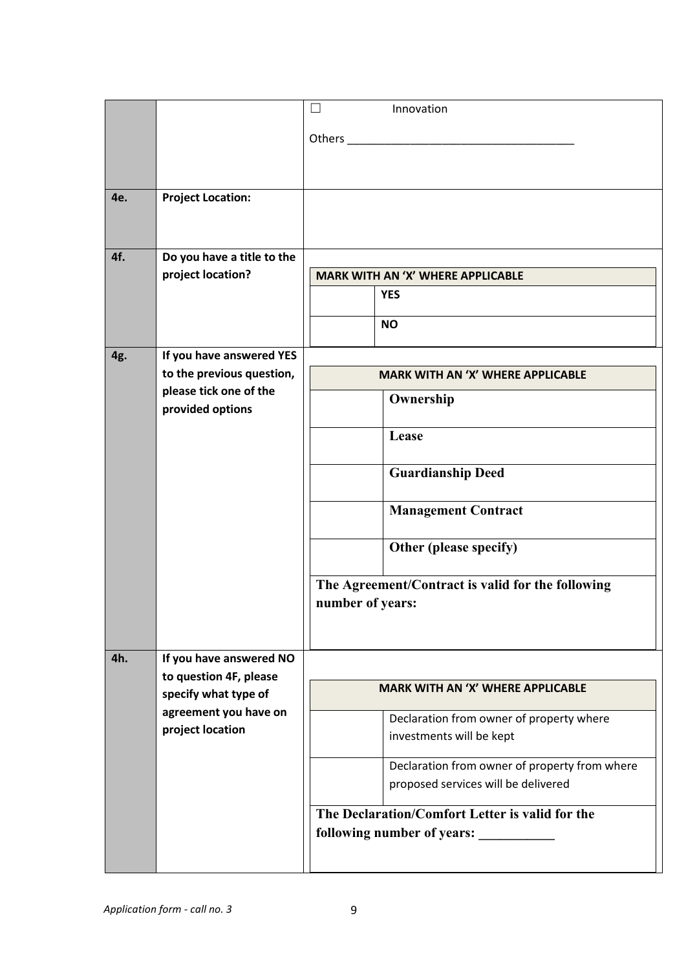|     |                                                | $\Box$<br>Innovation                                                                 |
|-----|------------------------------------------------|--------------------------------------------------------------------------------------|
|     |                                                |                                                                                      |
| 4e. | <b>Project Location:</b>                       |                                                                                      |
|     |                                                |                                                                                      |
| 4f. | Do you have a title to the                     |                                                                                      |
|     | project location?                              | <b>MARK WITH AN 'X' WHERE APPLICABLE</b>                                             |
|     |                                                | <b>YES</b>                                                                           |
|     |                                                | <b>NO</b>                                                                            |
| 4g. | If you have answered YES                       |                                                                                      |
|     | to the previous question,                      | <b>MARK WITH AN 'X' WHERE APPLICABLE</b>                                             |
|     | please tick one of the<br>provided options     | Ownership                                                                            |
|     |                                                | Lease                                                                                |
|     |                                                | <b>Guardianship Deed</b>                                                             |
|     |                                                | <b>Management Contract</b>                                                           |
|     |                                                | Other (please specify)                                                               |
|     |                                                | The Agreement/Contract is valid for the following<br>number of years:                |
| 4h. | If you have answered NO                        |                                                                                      |
|     | to question 4F, please<br>specify what type of | <b>MARK WITH AN 'X' WHERE APPLICABLE</b>                                             |
|     | agreement you have on                          | Declaration from owner of property where                                             |
|     | project location                               | investments will be kept                                                             |
|     |                                                | Declaration from owner of property from where<br>proposed services will be delivered |
|     |                                                | The Declaration/Comfort Letter is valid for the<br>following number of years:        |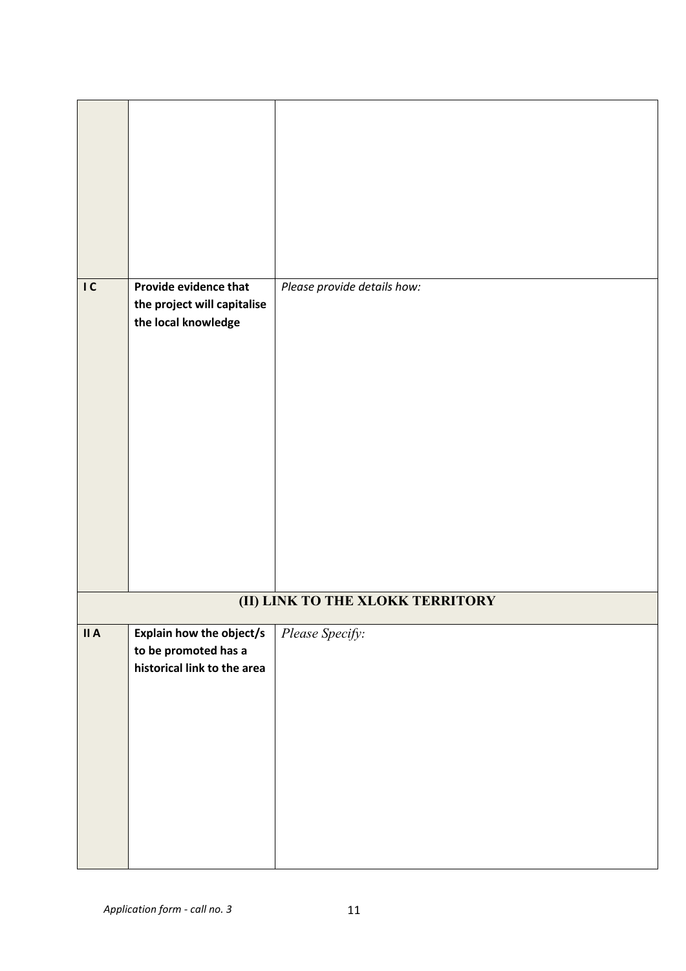| IC   | Provide evidence that<br>the project will capitalise<br>the local knowledge | Please provide details how:      |
|------|-----------------------------------------------------------------------------|----------------------------------|
|      |                                                                             |                                  |
|      |                                                                             |                                  |
|      |                                                                             |                                  |
|      |                                                                             | (II) LINK TO THE XLOKK TERRITORY |
| II A | Explain how the object/s                                                    | Please Specify:                  |
|      | to be promoted has a                                                        |                                  |
|      | historical link to the area                                                 |                                  |
|      |                                                                             |                                  |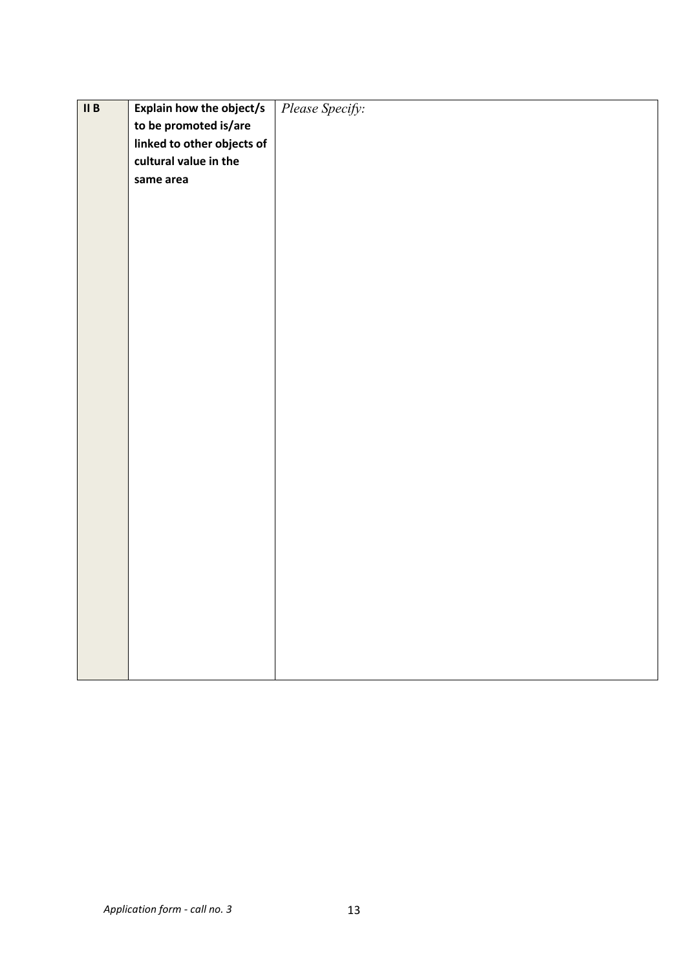| $\overline{\mathbf{II}}$ B | Explain how the object/s   | Please Specify: |
|----------------------------|----------------------------|-----------------|
|                            | to be promoted is/are      |                 |
|                            | linked to other objects of |                 |
|                            | cultural value in the      |                 |
|                            | same area                  |                 |
|                            |                            |                 |
|                            |                            |                 |
|                            |                            |                 |
|                            |                            |                 |
|                            |                            |                 |
|                            |                            |                 |
|                            |                            |                 |
|                            |                            |                 |
|                            |                            |                 |
|                            |                            |                 |
|                            |                            |                 |
|                            |                            |                 |
|                            |                            |                 |
|                            |                            |                 |
|                            |                            |                 |
|                            |                            |                 |
|                            |                            |                 |
|                            |                            |                 |
|                            |                            |                 |
|                            |                            |                 |
|                            |                            |                 |
|                            |                            |                 |
|                            |                            |                 |
|                            |                            |                 |
|                            |                            |                 |
|                            |                            |                 |
|                            |                            |                 |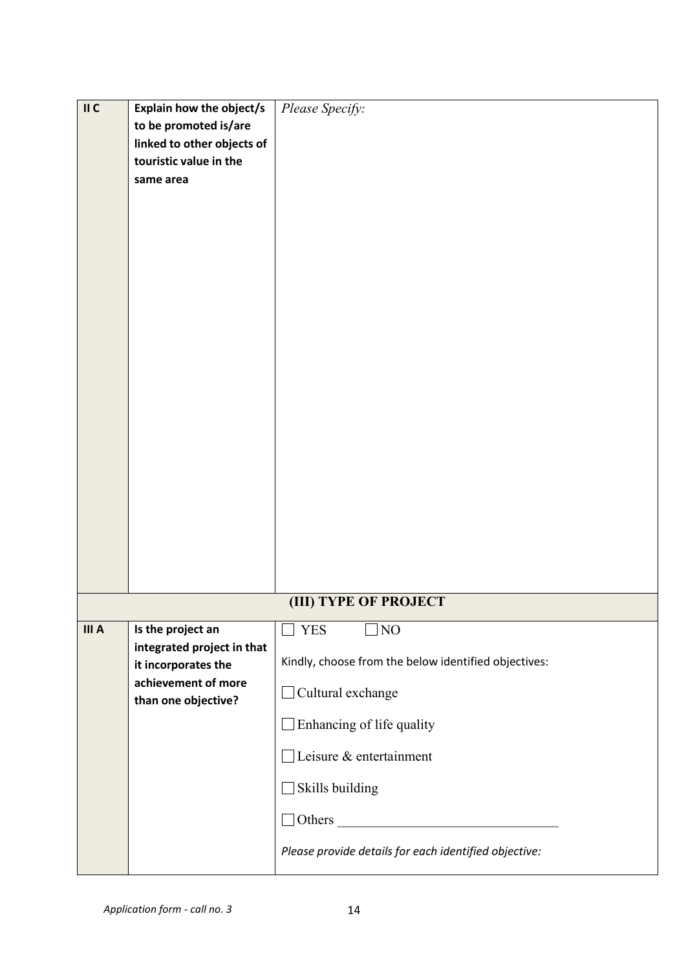| II C  | Explain how the object/s<br>to be promoted is/are<br>linked to other objects of<br>touristic value in the<br>same area | Please Specify:                                                                                                                                                                 |
|-------|------------------------------------------------------------------------------------------------------------------------|---------------------------------------------------------------------------------------------------------------------------------------------------------------------------------|
|       |                                                                                                                        |                                                                                                                                                                                 |
|       |                                                                                                                        |                                                                                                                                                                                 |
|       |                                                                                                                        |                                                                                                                                                                                 |
|       |                                                                                                                        | (III) TYPE OF PROJECT                                                                                                                                                           |
| III A | Is the project an<br>integrated project in that<br>it incorporates the<br>achievement of more<br>than one objective?   | <b>YES</b><br>NO<br>Kindly, choose from the below identified objectives:<br>Cultural exchange<br>Enhancing of life quality<br>$\Box$ Leisure & entertainment<br>Skills building |
|       |                                                                                                                        | Please provide details for each identified objective:                                                                                                                           |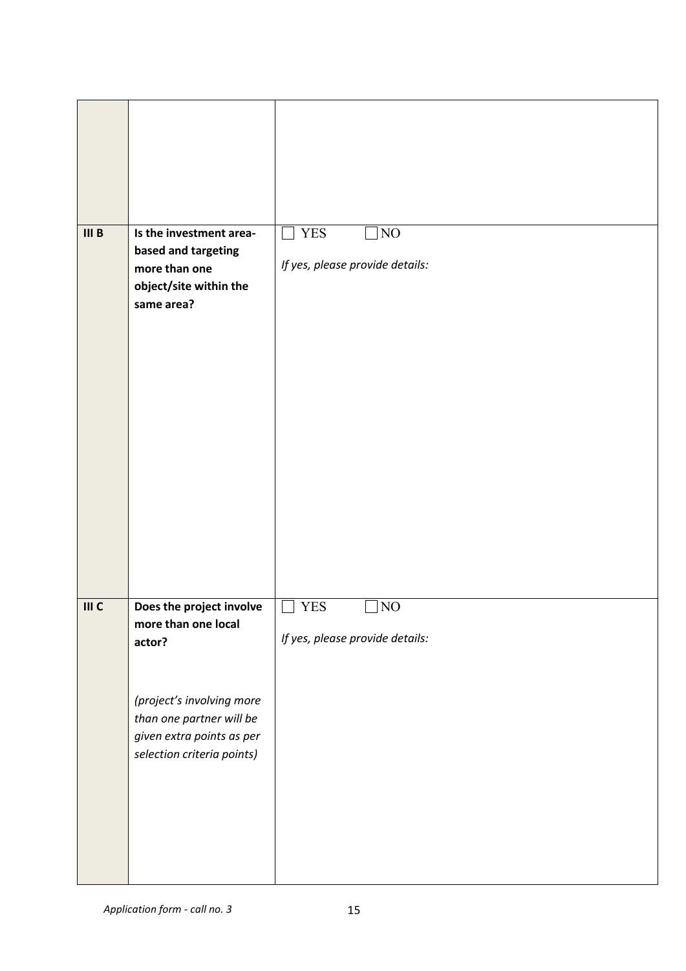| III <sub>B</sub> | Is the investment area-<br>based and targeting<br>more than one<br>object/site within the<br>same area?                                                                       | <b>YES</b><br>NO<br>If yes, please provide details: |
|------------------|-------------------------------------------------------------------------------------------------------------------------------------------------------------------------------|-----------------------------------------------------|
| III C            | Does the project involve<br>more than one local<br>actor?<br>(project's involving more<br>than one partner will be<br>given extra points as per<br>selection criteria points) | <b>YES</b><br>NO<br>If yes, please provide details: |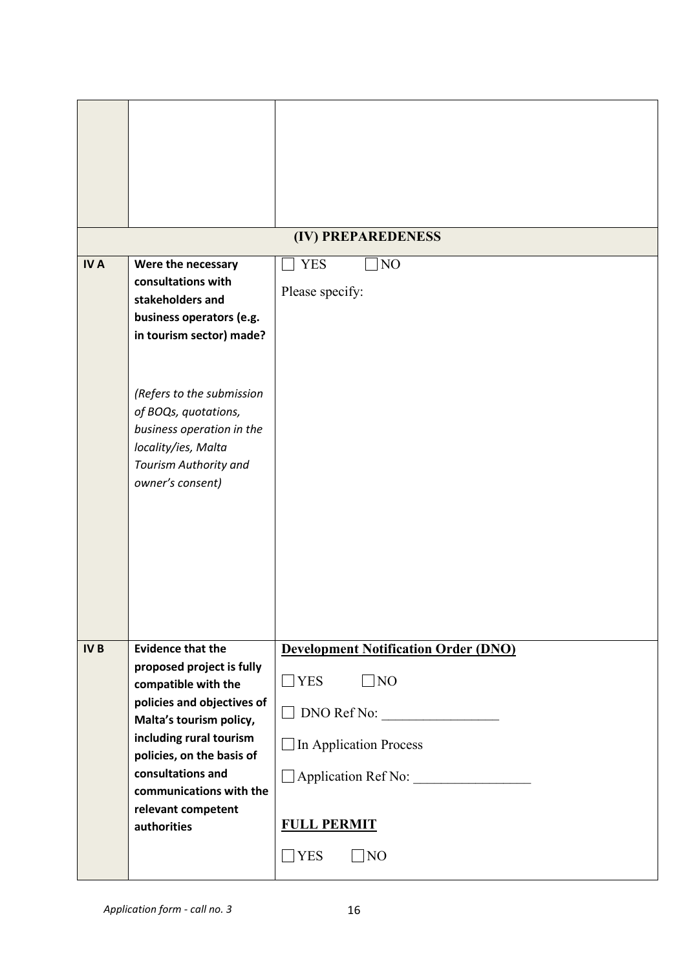|            |                                                                                                                                                                                                                                                                                    | (IV) PREPAREDENESS                                                                                                                                                                      |
|------------|------------------------------------------------------------------------------------------------------------------------------------------------------------------------------------------------------------------------------------------------------------------------------------|-----------------------------------------------------------------------------------------------------------------------------------------------------------------------------------------|
| <b>IVA</b> | Were the necessary<br>consultations with<br>stakeholders and<br>business operators (e.g.<br>in tourism sector) made?<br>(Refers to the submission<br>of BOQs, quotations,<br>business operation in the<br>locality/ies, Malta<br>Tourism Authority and<br>owner's consent)         | <b>YES</b><br>NO<br>Please specify:                                                                                                                                                     |
| <b>IVB</b> | <b>Evidence that the</b><br>proposed project is fully<br>compatible with the<br>policies and objectives of<br>Malta's tourism policy,<br>including rural tourism<br>policies, on the basis of<br>consultations and<br>communications with the<br>relevant competent<br>authorities | <b>Development Notification Order (DNO)</b><br>$\Box$ NO<br>$\neg$ YES<br>DNO Ref No:<br>In Application Process<br>Application Ref No:<br><b>FULL PERMIT</b><br>$\Box$ YES<br>$\Box$ NO |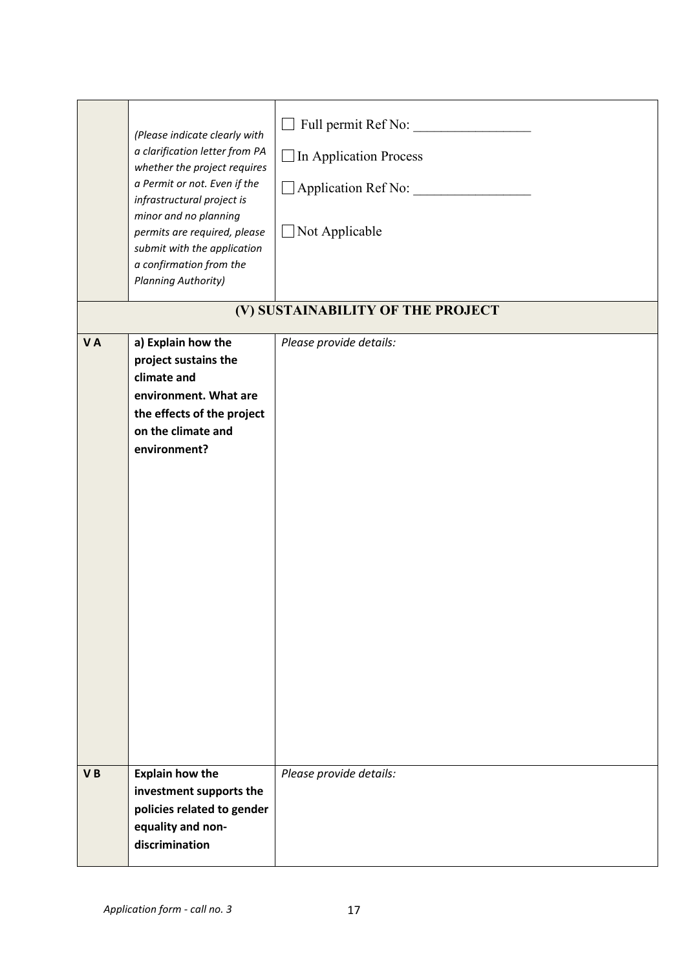|    | (Please indicate clearly with<br>a clarification letter from PA<br>whether the project requires<br>a Permit or not. Even if the<br>infrastructural project is<br>minor and no planning<br>permits are required, please<br>submit with the application<br>a confirmation from the<br><b>Planning Authority)</b> | Full permit Ref No:<br>$\Box$ In Application Process<br>Application Ref No:<br>$\Box$ Not Applicable<br>(V) SUSTAINABILITY OF THE PROJECT |
|----|----------------------------------------------------------------------------------------------------------------------------------------------------------------------------------------------------------------------------------------------------------------------------------------------------------------|-------------------------------------------------------------------------------------------------------------------------------------------|
| VA | a) Explain how the<br>project sustains the<br>climate and<br>environment. What are<br>the effects of the project<br>on the climate and<br>environment?                                                                                                                                                         | Please provide details:                                                                                                                   |
| VB | <b>Explain how the</b><br>investment supports the<br>policies related to gender<br>equality and non-<br>discrimination                                                                                                                                                                                         | Please provide details:                                                                                                                   |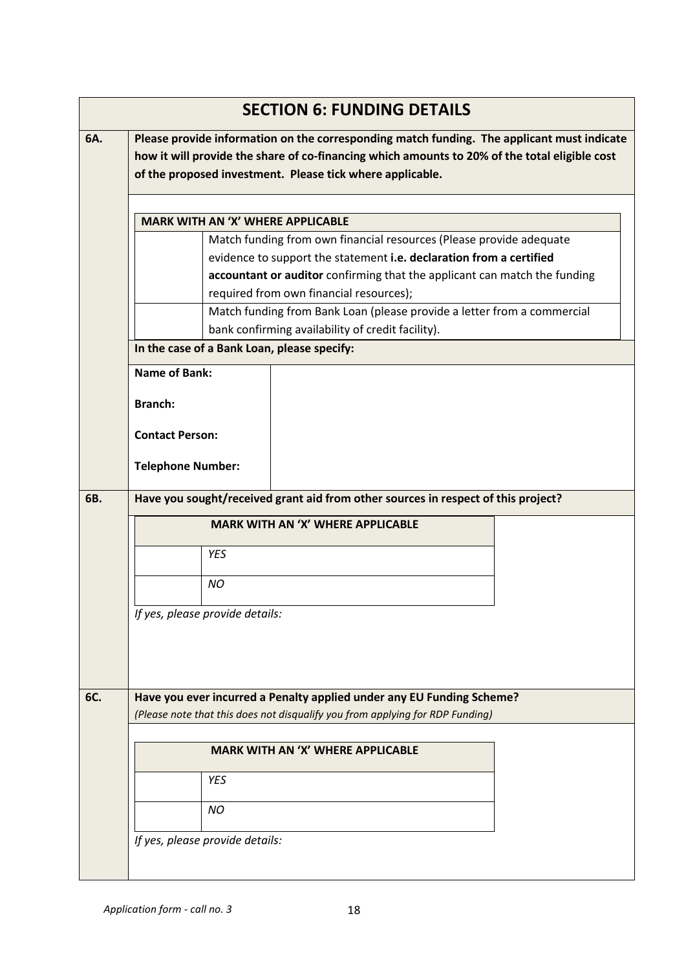|     | <b>SECTION 6: FUNDING DETAILS</b>                                                                                                                                                                                                                        |  |  |  |  |  |  |  |
|-----|----------------------------------------------------------------------------------------------------------------------------------------------------------------------------------------------------------------------------------------------------------|--|--|--|--|--|--|--|
| 6A. | Please provide information on the corresponding match funding. The applicant must indicate<br>how it will provide the share of co-financing which amounts to 20% of the total eligible cost<br>of the proposed investment. Please tick where applicable. |  |  |  |  |  |  |  |
|     | <b>MARK WITH AN 'X' WHERE APPLICABLE</b>                                                                                                                                                                                                                 |  |  |  |  |  |  |  |
|     | Match funding from own financial resources (Please provide adequate                                                                                                                                                                                      |  |  |  |  |  |  |  |
|     | evidence to support the statement i.e. declaration from a certified                                                                                                                                                                                      |  |  |  |  |  |  |  |
|     | accountant or auditor confirming that the applicant can match the funding                                                                                                                                                                                |  |  |  |  |  |  |  |
|     | required from own financial resources);                                                                                                                                                                                                                  |  |  |  |  |  |  |  |
|     | Match funding from Bank Loan (please provide a letter from a commercial                                                                                                                                                                                  |  |  |  |  |  |  |  |
|     | bank confirming availability of credit facility).<br>In the case of a Bank Loan, please specify:                                                                                                                                                         |  |  |  |  |  |  |  |
|     | <b>Name of Bank:</b>                                                                                                                                                                                                                                     |  |  |  |  |  |  |  |
|     |                                                                                                                                                                                                                                                          |  |  |  |  |  |  |  |
|     | <b>Branch:</b>                                                                                                                                                                                                                                           |  |  |  |  |  |  |  |
|     | <b>Contact Person:</b>                                                                                                                                                                                                                                   |  |  |  |  |  |  |  |
|     | <b>Telephone Number:</b>                                                                                                                                                                                                                                 |  |  |  |  |  |  |  |
| 6B. | Have you sought/received grant aid from other sources in respect of this project?                                                                                                                                                                        |  |  |  |  |  |  |  |
|     | <b>MARK WITH AN 'X' WHERE APPLICABLE</b>                                                                                                                                                                                                                 |  |  |  |  |  |  |  |
|     | YES                                                                                                                                                                                                                                                      |  |  |  |  |  |  |  |
|     | <b>NO</b>                                                                                                                                                                                                                                                |  |  |  |  |  |  |  |
|     | If yes, please provide details:                                                                                                                                                                                                                          |  |  |  |  |  |  |  |
|     |                                                                                                                                                                                                                                                          |  |  |  |  |  |  |  |
|     |                                                                                                                                                                                                                                                          |  |  |  |  |  |  |  |
| 6C. | Have you ever incurred a Penalty applied under any EU Funding Scheme?                                                                                                                                                                                    |  |  |  |  |  |  |  |
|     | (Please note that this does not disqualify you from applying for RDP Funding)                                                                                                                                                                            |  |  |  |  |  |  |  |
|     | <b>MARK WITH AN 'X' WHERE APPLICABLE</b>                                                                                                                                                                                                                 |  |  |  |  |  |  |  |
|     | <b>YES</b>                                                                                                                                                                                                                                               |  |  |  |  |  |  |  |
|     | <b>NO</b>                                                                                                                                                                                                                                                |  |  |  |  |  |  |  |
|     | If yes, please provide details:                                                                                                                                                                                                                          |  |  |  |  |  |  |  |
|     |                                                                                                                                                                                                                                                          |  |  |  |  |  |  |  |
|     |                                                                                                                                                                                                                                                          |  |  |  |  |  |  |  |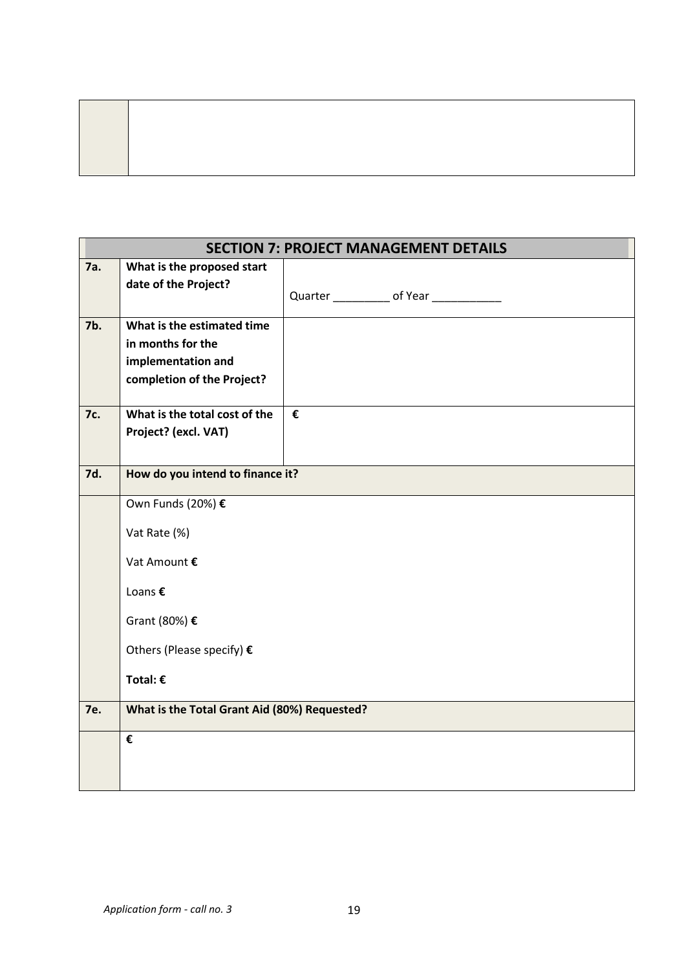|            |                                                    | <b>SECTION 7: PROJECT MANAGEMENT DETAILS</b> |
|------------|----------------------------------------------------|----------------------------------------------|
| 7a.        | What is the proposed start<br>date of the Project? |                                              |
|            |                                                    |                                              |
| 7b.        | What is the estimated time<br>in months for the    |                                              |
|            | implementation and                                 |                                              |
|            | completion of the Project?                         |                                              |
| 7c.        | What is the total cost of the                      | €                                            |
|            | Project? (excl. VAT)                               |                                              |
| 7d.        | How do you intend to finance it?                   |                                              |
|            | Own Funds (20%) €                                  |                                              |
|            | Vat Rate (%)                                       |                                              |
|            | Vat Amount €                                       |                                              |
|            | Loans €                                            |                                              |
|            | Grant (80%) €                                      |                                              |
|            | Others (Please specify) €                          |                                              |
|            | Total: $\epsilon$                                  |                                              |
| <b>7e.</b> | What is the Total Grant Aid (80%) Requested?       |                                              |
|            | €                                                  |                                              |
|            |                                                    |                                              |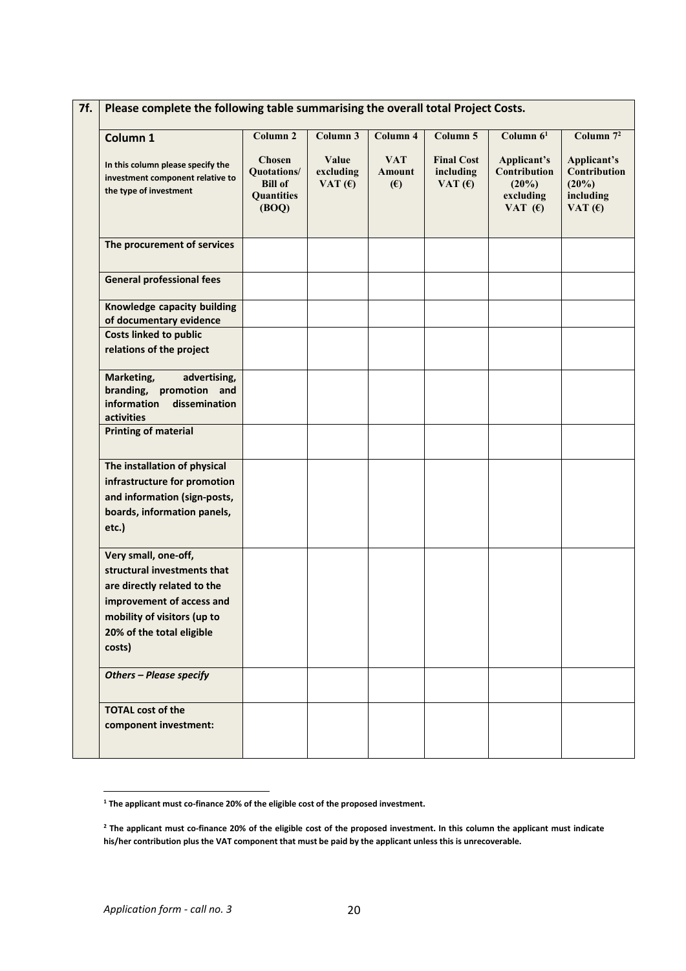| Column 1                                                                                                                                                                              | Column <sub>2</sub>                                                          | Column 3                        | Column 4                    | Column 5                                    | Column $61$                                                       | Column $7^2$                                                   |  |
|---------------------------------------------------------------------------------------------------------------------------------------------------------------------------------------|------------------------------------------------------------------------------|---------------------------------|-----------------------------|---------------------------------------------|-------------------------------------------------------------------|----------------------------------------------------------------|--|
| In this column please specify the<br>investment component relative to<br>the type of investment                                                                                       | <b>Chosen</b><br>Quotations/<br><b>Bill of</b><br><b>Quantities</b><br>(BOQ) | Value<br>excluding<br>VAT $(f)$ | <b>VAT</b><br>Amount<br>(E) | <b>Final Cost</b><br>including<br>VAT $(6)$ | Applicant's<br>Contribution<br>$(20\%)$<br>excluding<br>VAT $(6)$ | Applicant's<br>Contribution<br>(20%)<br>including<br>VAT $(f)$ |  |
| The procurement of services                                                                                                                                                           |                                                                              |                                 |                             |                                             |                                                                   |                                                                |  |
| <b>General professional fees</b>                                                                                                                                                      |                                                                              |                                 |                             |                                             |                                                                   |                                                                |  |
| Knowledge capacity building<br>of documentary evidence                                                                                                                                |                                                                              |                                 |                             |                                             |                                                                   |                                                                |  |
| <b>Costs linked to public</b><br>relations of the project                                                                                                                             |                                                                              |                                 |                             |                                             |                                                                   |                                                                |  |
| Marketing,<br>advertising,<br>branding, promotion and<br>information<br>dissemination<br>activities                                                                                   |                                                                              |                                 |                             |                                             |                                                                   |                                                                |  |
| <b>Printing of material</b>                                                                                                                                                           |                                                                              |                                 |                             |                                             |                                                                   |                                                                |  |
| The installation of physical<br>infrastructure for promotion<br>and information (sign-posts,<br>boards, information panels,<br>etc.)                                                  |                                                                              |                                 |                             |                                             |                                                                   |                                                                |  |
| Very small, one-off,<br>structural investments that<br>are directly related to the<br>improvement of access and<br>mobility of visitors (up to<br>20% of the total eligible<br>costs) |                                                                              |                                 |                             |                                             |                                                                   |                                                                |  |
| <b>Others - Please specify</b>                                                                                                                                                        |                                                                              |                                 |                             |                                             |                                                                   |                                                                |  |
| <b>TOTAL cost of the</b><br>component investment:                                                                                                                                     |                                                                              |                                 |                             |                                             |                                                                   |                                                                |  |

<span id="page-19-0"></span>**<sup>1</sup> The applicant must co-finance 20% of the eligible cost of the proposed investment.**

<span id="page-19-1"></span><sup>&</sup>lt;sup>2</sup> The applicant must co-finance 20% of the eligible cost of the proposed investment. In this column the applicant must indicate **his/her contribution plus the VAT component that must be paid bythe applicant unless this is unrecoverable.**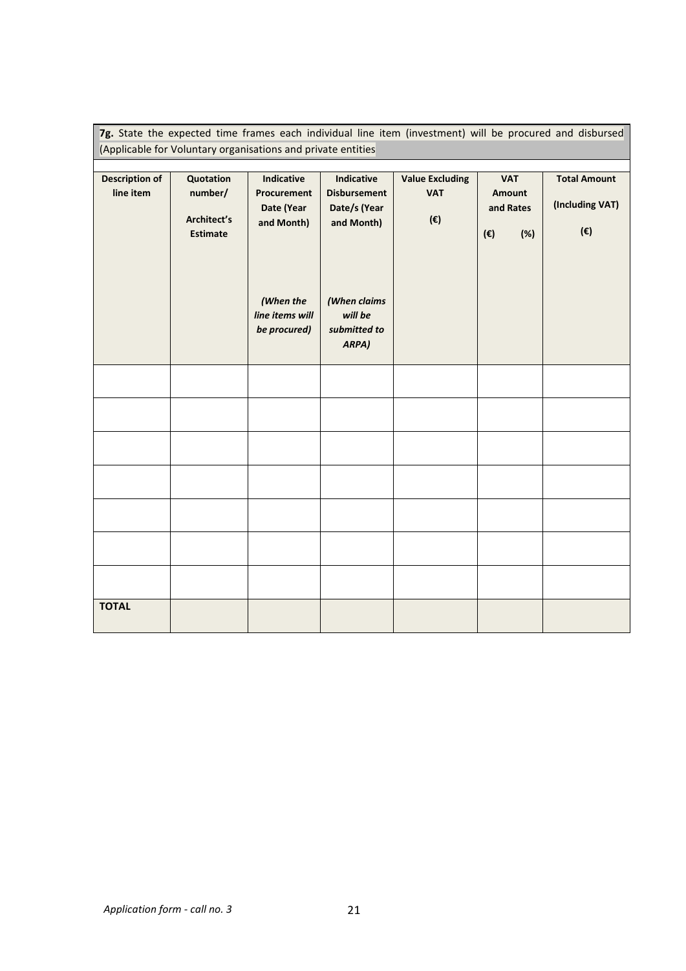|                       |                                                              |                                              |                                                   | 7g. State the expected time frames each individual line item (investment) will be procured and disbursed |                                            |                                 |
|-----------------------|--------------------------------------------------------------|----------------------------------------------|---------------------------------------------------|----------------------------------------------------------------------------------------------------------|--------------------------------------------|---------------------------------|
|                       | (Applicable for Voluntary organisations and private entities |                                              |                                                   |                                                                                                          |                                            |                                 |
| <b>Description of</b> | Quotation                                                    | <b>Indicative</b>                            | Indicative                                        | <b>Value Excluding</b>                                                                                   | <b>VAT</b>                                 | <b>Total Amount</b>             |
| line item             | number/<br>Architect's<br><b>Estimate</b>                    | Procurement<br>Date (Year<br>and Month)      | <b>Disbursement</b><br>Date/s (Year<br>and Month) | <b>VAT</b><br>(€)                                                                                        | Amount<br>and Rates<br>(%)<br>$(\epsilon)$ | (Including VAT)<br>$(\epsilon)$ |
|                       |                                                              | (When the<br>line items will<br>be procured) | (When claims<br>will be<br>submitted to<br>ARPA)  |                                                                                                          |                                            |                                 |
|                       |                                                              |                                              |                                                   |                                                                                                          |                                            |                                 |
|                       |                                                              |                                              |                                                   |                                                                                                          |                                            |                                 |
|                       |                                                              |                                              |                                                   |                                                                                                          |                                            |                                 |
|                       |                                                              |                                              |                                                   |                                                                                                          |                                            |                                 |
|                       |                                                              |                                              |                                                   |                                                                                                          |                                            |                                 |
|                       |                                                              |                                              |                                                   |                                                                                                          |                                            |                                 |
|                       |                                                              |                                              |                                                   |                                                                                                          |                                            |                                 |
| <b>TOTAL</b>          |                                                              |                                              |                                                   |                                                                                                          |                                            |                                 |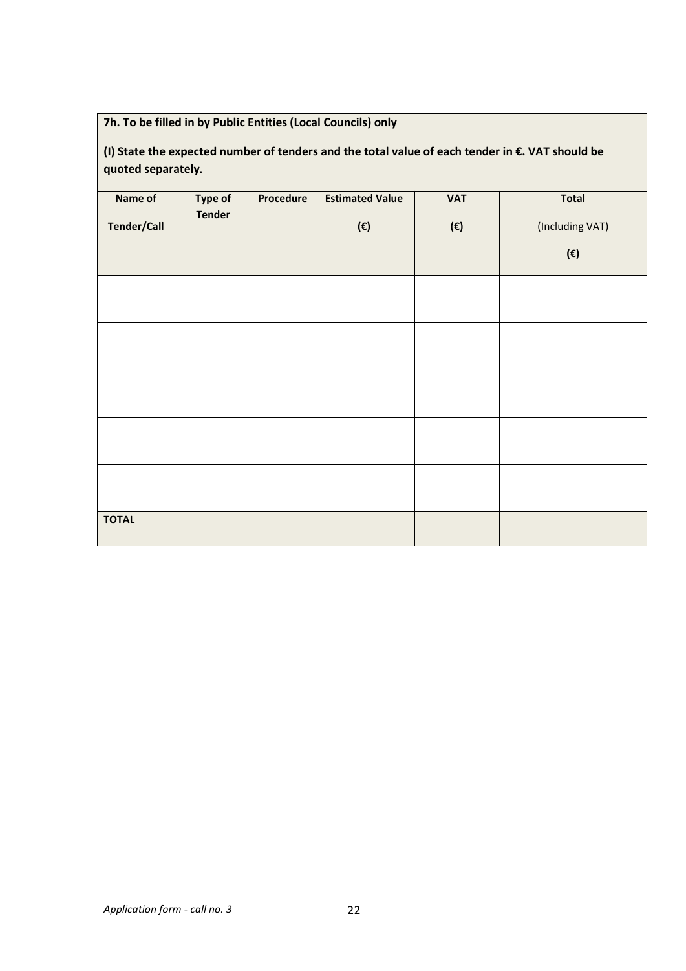### **7h. To be filled in by Public Entities (Local Councils) only**

### **(I) State the expected numberof tenders and the total value of each tender in €. VAT should be quoted separately.**

| Name of<br><b>Tender/Call</b> | Type of<br><b>Tender</b> | Procedure | <b>Estimated Value</b><br>$(\boldsymbol{\epsilon})$ | <b>VAT</b><br>$(\boldsymbol{\epsilon})$ | <b>Total</b><br>(Including VAT)<br>$(\boldsymbol{\epsilon})$ |
|-------------------------------|--------------------------|-----------|-----------------------------------------------------|-----------------------------------------|--------------------------------------------------------------|
|                               |                          |           |                                                     |                                         |                                                              |
|                               |                          |           |                                                     |                                         |                                                              |
|                               |                          |           |                                                     |                                         |                                                              |
|                               |                          |           |                                                     |                                         |                                                              |
|                               |                          |           |                                                     |                                         |                                                              |
| <b>TOTAL</b>                  |                          |           |                                                     |                                         |                                                              |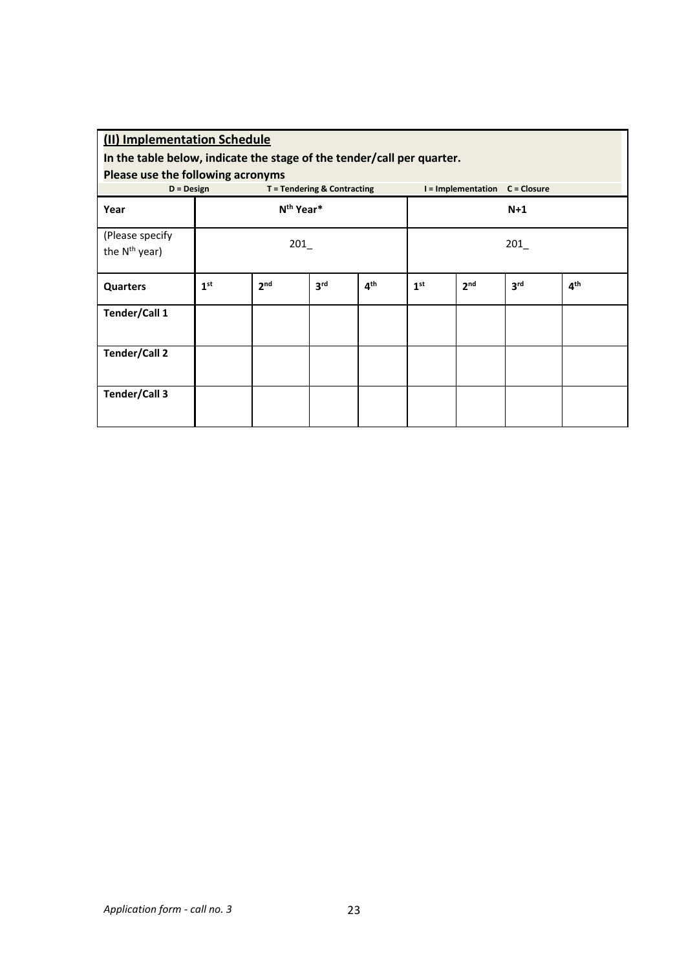| (II) Implementation Schedule<br>In the table below, indicate the stage of the tender/call per quarter.             |                 |                       |                 |                 |                 |                 |                 |                 |  |
|--------------------------------------------------------------------------------------------------------------------|-----------------|-----------------------|-----------------|-----------------|-----------------|-----------------|-----------------|-----------------|--|
| Please use the following acronyms<br>I = Implementation C = Closure<br>T = Tendering & Contracting<br>$D = Design$ |                 |                       |                 |                 |                 |                 |                 |                 |  |
| Year                                                                                                               |                 | N <sup>th</sup> Year* |                 |                 | $N+1$           |                 |                 |                 |  |
| (Please specify<br>the N <sup>th</sup> year)                                                                       | 201             |                       |                 |                 | 201             |                 |                 |                 |  |
| <b>Quarters</b>                                                                                                    | 1 <sup>st</sup> | 2 <sub>nd</sub>       | 3 <sup>rd</sup> | 4 <sup>th</sup> | 1 <sup>st</sup> | 2 <sub>nd</sub> | 3 <sup>rd</sup> | 4 <sup>th</sup> |  |
| Tender/Call 1                                                                                                      |                 |                       |                 |                 |                 |                 |                 |                 |  |
| Tender/Call 2                                                                                                      |                 |                       |                 |                 |                 |                 |                 |                 |  |
| Tender/Call 3                                                                                                      |                 |                       |                 |                 |                 |                 |                 |                 |  |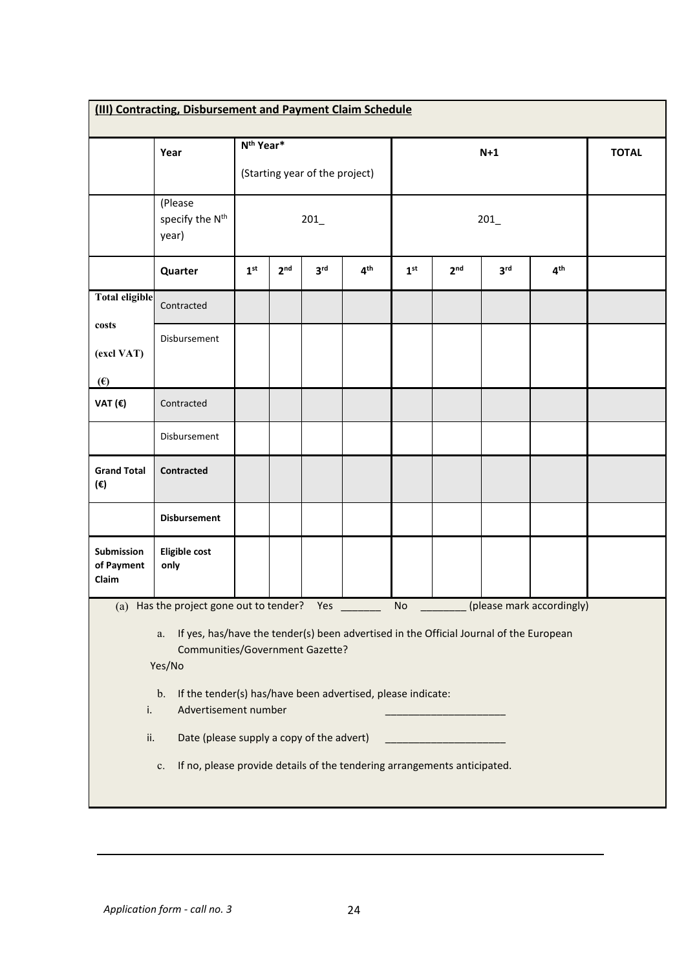| (III) Contracting, Disbursement and Payment Claim Schedule                                                                                                                                                                                              |                                                                                |                                |                 |                 |                 |                 |                 |                 |                           |              |
|---------------------------------------------------------------------------------------------------------------------------------------------------------------------------------------------------------------------------------------------------------|--------------------------------------------------------------------------------|--------------------------------|-----------------|-----------------|-----------------|-----------------|-----------------|-----------------|---------------------------|--------------|
|                                                                                                                                                                                                                                                         |                                                                                |                                |                 |                 |                 |                 |                 |                 |                           |              |
|                                                                                                                                                                                                                                                         | Year                                                                           | N <sup>th</sup> Year*          |                 |                 |                 |                 |                 | $N+1$           |                           | <b>TOTAL</b> |
|                                                                                                                                                                                                                                                         |                                                                                | (Starting year of the project) |                 |                 |                 |                 |                 |                 |                           |              |
|                                                                                                                                                                                                                                                         | (Please<br>specify the N <sup>th</sup><br>year)                                | 201                            |                 |                 |                 |                 | 201             |                 |                           |              |
|                                                                                                                                                                                                                                                         | Quarter                                                                        | 1 <sup>st</sup>                | 2 <sup>nd</sup> | 3 <sup>rd</sup> | 4 <sup>th</sup> | 1 <sup>st</sup> | 2 <sub>nd</sub> | 3 <sup>rd</sup> | 4 <sup>th</sup>           |              |
| <b>Total eligible</b>                                                                                                                                                                                                                                   | Contracted                                                                     |                                |                 |                 |                 |                 |                 |                 |                           |              |
| $\cos ts$<br>(excl VAT)                                                                                                                                                                                                                                 | Disbursement                                                                   |                                |                 |                 |                 |                 |                 |                 |                           |              |
| (E)                                                                                                                                                                                                                                                     |                                                                                |                                |                 |                 |                 |                 |                 |                 |                           |              |
| VAT (€)                                                                                                                                                                                                                                                 | Contracted                                                                     |                                |                 |                 |                 |                 |                 |                 |                           |              |
|                                                                                                                                                                                                                                                         | Disbursement                                                                   |                                |                 |                 |                 |                 |                 |                 |                           |              |
| <b>Grand Total</b><br>(€)                                                                                                                                                                                                                               | <b>Contracted</b>                                                              |                                |                 |                 |                 |                 |                 |                 |                           |              |
|                                                                                                                                                                                                                                                         | <b>Disbursement</b>                                                            |                                |                 |                 |                 |                 |                 |                 |                           |              |
| Submission<br>of Payment<br>Claim                                                                                                                                                                                                                       | <b>Eligible cost</b><br>only                                                   |                                |                 |                 |                 |                 |                 |                 |                           |              |
|                                                                                                                                                                                                                                                         | (a) Has the project gone out to tender?                                        |                                |                 | Yes             |                 | <b>No</b>       |                 |                 | (please mark accordingly) |              |
| If yes, has/have the tender(s) been advertised in the Official Journal of the European<br>a.<br>Communities/Government Gazette?<br>Yes/No<br>If the tender(s) has/have been advertised, please indicate:<br>$\mathbf b$ .<br>Advertisement number<br>i. |                                                                                |                                |                 |                 |                 |                 |                 |                 |                           |              |
| ii.                                                                                                                                                                                                                                                     | Date (please supply a copy of the advert)                                      |                                |                 |                 |                 |                 |                 |                 |                           |              |
|                                                                                                                                                                                                                                                         | If no, please provide details of the tendering arrangements anticipated.<br>c. |                                |                 |                 |                 |                 |                 |                 |                           |              |
|                                                                                                                                                                                                                                                         |                                                                                |                                |                 |                 |                 |                 |                 |                 |                           |              |
|                                                                                                                                                                                                                                                         |                                                                                |                                |                 |                 |                 |                 |                 |                 |                           |              |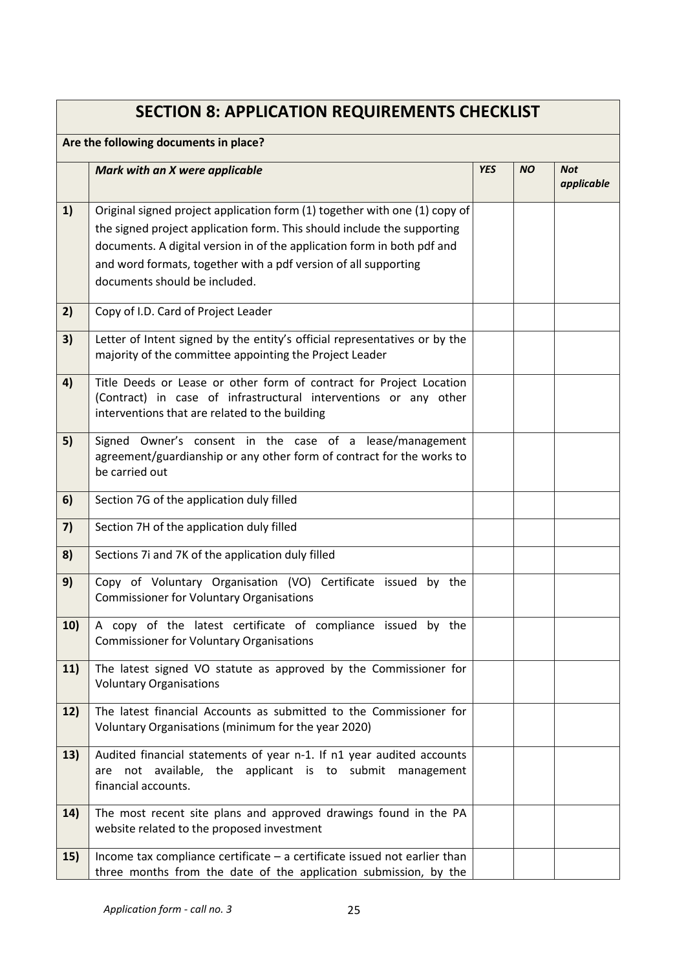|     | <b>SECTION 8: APPLICATION REQUIREMENTS CHECKLIST</b>                                                                                                                                                                                                                                                                                 |            |           |                          |
|-----|--------------------------------------------------------------------------------------------------------------------------------------------------------------------------------------------------------------------------------------------------------------------------------------------------------------------------------------|------------|-----------|--------------------------|
|     | Are the following documents in place?                                                                                                                                                                                                                                                                                                |            |           |                          |
|     | Mark with an X were applicable                                                                                                                                                                                                                                                                                                       | <b>YES</b> | <b>NO</b> | <b>Not</b><br>applicable |
| 1)  | Original signed project application form (1) together with one (1) copy of<br>the signed project application form. This should include the supporting<br>documents. A digital version in of the application form in both pdf and<br>and word formats, together with a pdf version of all supporting<br>documents should be included. |            |           |                          |
| 2)  | Copy of I.D. Card of Project Leader                                                                                                                                                                                                                                                                                                  |            |           |                          |
| 3)  | Letter of Intent signed by the entity's official representatives or by the<br>majority of the committee appointing the Project Leader                                                                                                                                                                                                |            |           |                          |
| 4)  | Title Deeds or Lease or other form of contract for Project Location<br>(Contract) in case of infrastructural interventions or any other<br>interventions that are related to the building                                                                                                                                            |            |           |                          |
| 5)  | Signed Owner's consent in the case of a lease/management<br>agreement/guardianship or any other form of contract for the works to<br>be carried out                                                                                                                                                                                  |            |           |                          |
| 6)  | Section 7G of the application duly filled                                                                                                                                                                                                                                                                                            |            |           |                          |
| 7)  | Section 7H of the application duly filled                                                                                                                                                                                                                                                                                            |            |           |                          |
| 8)  | Sections 7i and 7K of the application duly filled                                                                                                                                                                                                                                                                                    |            |           |                          |
| 9)  | Copy of Voluntary Organisation (VO) Certificate issued by the<br><b>Commissioner for Voluntary Organisations</b>                                                                                                                                                                                                                     |            |           |                          |
| 10) | A copy of the latest certificate of compliance issued by the<br><b>Commissioner for Voluntary Organisations</b>                                                                                                                                                                                                                      |            |           |                          |
| 11) | The latest signed VO statute as approved by the Commissioner for<br><b>Voluntary Organisations</b>                                                                                                                                                                                                                                   |            |           |                          |
| 12) | The latest financial Accounts as submitted to the Commissioner for<br>Voluntary Organisations (minimum for the year 2020)                                                                                                                                                                                                            |            |           |                          |
| 13) | Audited financial statements of year n-1. If n1 year audited accounts<br>are not available, the applicant is to submit management<br>financial accounts.                                                                                                                                                                             |            |           |                          |
| 14) | The most recent site plans and approved drawings found in the PA<br>website related to the proposed investment                                                                                                                                                                                                                       |            |           |                          |
| 15) | Income tax compliance certificate $-$ a certificate issued not earlier than<br>three months from the date of the application submission, by the                                                                                                                                                                                      |            |           |                          |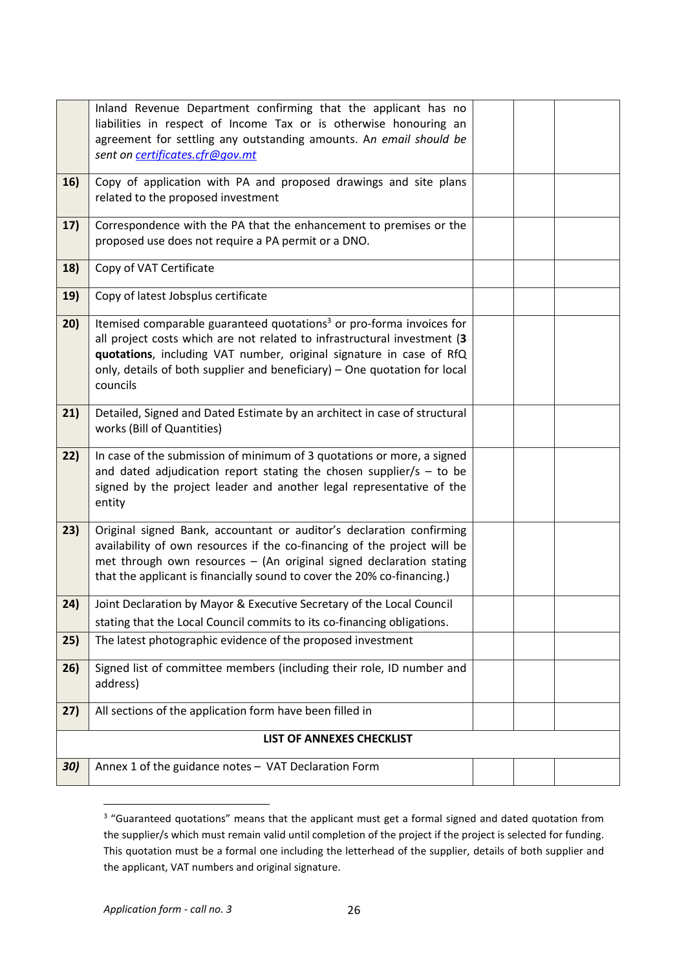|            | Inland Revenue Department confirming that the applicant has no<br>liabilities in respect of Income Tax or is otherwise honouring an<br>agreement for settling any outstanding amounts. An email should be<br>sent on certificates.cfr@gov.mt                                                                                 |  |  |  |  |
|------------|------------------------------------------------------------------------------------------------------------------------------------------------------------------------------------------------------------------------------------------------------------------------------------------------------------------------------|--|--|--|--|
| <b>16)</b> | Copy of application with PA and proposed drawings and site plans<br>related to the proposed investment                                                                                                                                                                                                                       |  |  |  |  |
| 17)        | Correspondence with the PA that the enhancement to premises or the<br>proposed use does not require a PA permit or a DNO.                                                                                                                                                                                                    |  |  |  |  |
| 18)        | Copy of VAT Certificate                                                                                                                                                                                                                                                                                                      |  |  |  |  |
| 19)        | Copy of latest Jobsplus certificate                                                                                                                                                                                                                                                                                          |  |  |  |  |
| 20)        | Itemised comparable guaranteed quotations <sup>3</sup> or pro-forma invoices for<br>all project costs which are not related to infrastructural investment (3<br>quotations, including VAT number, original signature in case of RfQ<br>only, details of both supplier and beneficiary) - One quotation for local<br>councils |  |  |  |  |
| 21)        | Detailed, Signed and Dated Estimate by an architect in case of structural<br>works (Bill of Quantities)                                                                                                                                                                                                                      |  |  |  |  |
| 22)        | In case of the submission of minimum of 3 quotations or more, a signed<br>and dated adjudication report stating the chosen supplier/s $-$ to be<br>signed by the project leader and another legal representative of the<br>entity                                                                                            |  |  |  |  |
| 23)        | Original signed Bank, accountant or auditor's declaration confirming<br>availability of own resources if the co-financing of the project will be<br>met through own resources - (An original signed declaration stating<br>that the applicant is financially sound to cover the 20% co-financing.)                           |  |  |  |  |
| 24)        | Joint Declaration by Mayor & Executive Secretary of the Local Council<br>stating that the Local Council commits to its co-financing obligations.                                                                                                                                                                             |  |  |  |  |
| 25)        | The latest photographic evidence of the proposed investment                                                                                                                                                                                                                                                                  |  |  |  |  |
| 26)        | Signed list of committee members (including their role, ID number and<br>address)                                                                                                                                                                                                                                            |  |  |  |  |
| 27)        | All sections of the application form have been filled in                                                                                                                                                                                                                                                                     |  |  |  |  |
|            | LIST OF ANNEXES CHECKLIST                                                                                                                                                                                                                                                                                                    |  |  |  |  |
| 30)        | Annex 1 of the guidance notes - VAT Declaration Form                                                                                                                                                                                                                                                                         |  |  |  |  |

<span id="page-25-0"></span><sup>&</sup>lt;sup>3</sup> "Guaranteed quotations" means that the applicant must get a formal signed and dated quotation from the supplier/s which must remain valid until completion of the project if the project is selected for funding. This quotation must be a formal one including the letterhead of the supplier, details of both supplier and the applicant, VAT numbers and original signature.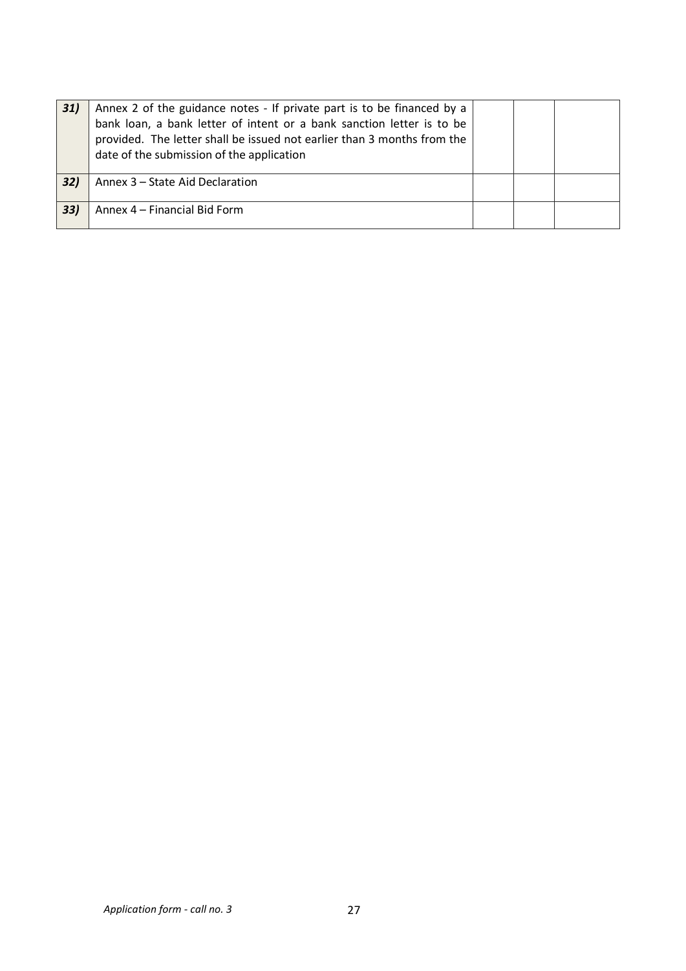| 31) | Annex 2 of the guidance notes - If private part is to be financed by a<br>bank loan, a bank letter of intent or a bank sanction letter is to be<br>provided. The letter shall be issued not earlier than 3 months from the<br>date of the submission of the application |  |  |
|-----|-------------------------------------------------------------------------------------------------------------------------------------------------------------------------------------------------------------------------------------------------------------------------|--|--|
| 32) | Annex 3 – State Aid Declaration                                                                                                                                                                                                                                         |  |  |
| 33) | Annex 4 - Financial Bid Form                                                                                                                                                                                                                                            |  |  |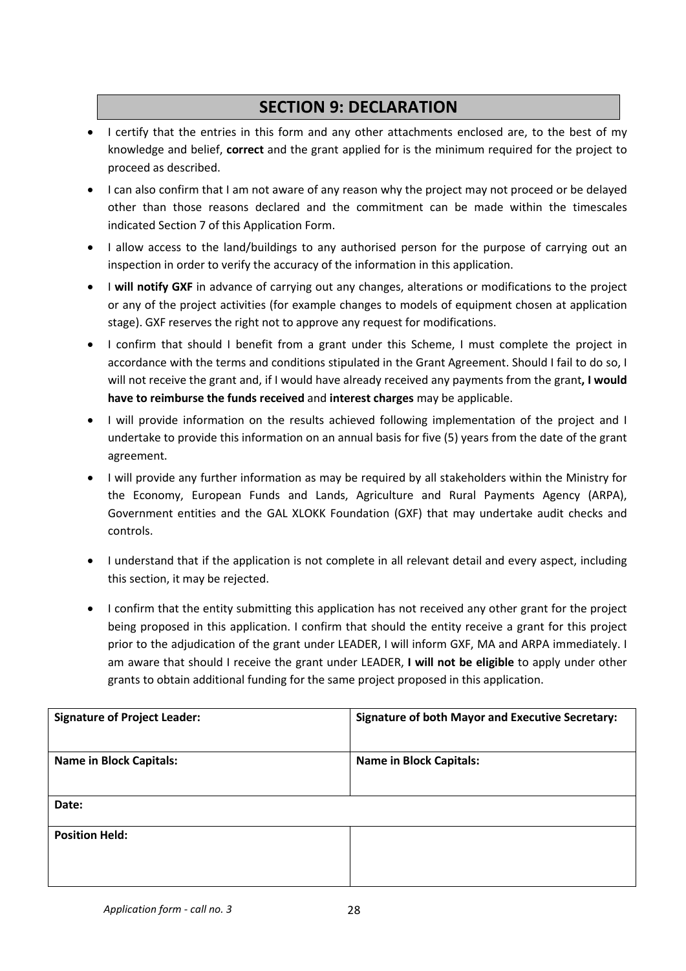### **SECTION 9: DECLARATION**

- I certify that the entries in this form and any other attachments enclosed are, to the best of my knowledge and belief, **correct** and the grant applied for is the minimum required for the project to proceed as described.
- I can also confirm that I am not aware of any reason why the project may not proceed or be delayed other than those reasons declared and the commitment can be made within the timescales indicated Section 7 of this Application Form.
- I allow access to the land/buildings to any authorised person for the purpose of carrying out an inspection in order to verify the accuracy of the information in this application.
- I will notify GXF in advance of carrying out any changes, alterations or modifications to the project or any of the project activities (for example changes to models of equipment chosen at application stage). GXF reserves the right not to approve any request for modifications.
- I confirm that should I benefit from a grant under this Scheme, I must complete the project in accordance with the terms and conditions stipulated in the Grant Agreement. Should I fail to do so, I will not receive the grant and, if I would have already received any payments from the grant**, I would have to reimburse the funds received** and **interestcharges** may be applicable.
- I will provide information on the results achieved following implementation of the project and I undertake to provide this information on an annual basis for five (5) years from the date of the grant agreement.
- I will provide any further information as may be required by all stakeholders within the Ministry for the Economy, European Funds and Lands, Agriculture and Rural Payments Agency (ARPA), Government entities and the GAL XLOKK Foundation (GXF) that may undertake audit checks and controls.
- I understand that if the application is not complete in all relevant detail and every aspect, including this section, it may be rejected.
- I confirm that the entity submitting this application has not received any other grant for the project being proposed in this application. I confirm that should the entity receive a grant for this project prior to the adjudication of the grant under LEADER, I will inform GXF, MA and ARPA immediately. I am aware that should I receive the grant under LEADER, **I will not be eligible** to apply under other grants to obtain additional funding for the same project proposed in this application.

| <b>Signature of Project Leader:</b> | <b>Signature of both Mayor and Executive Secretary:</b> |
|-------------------------------------|---------------------------------------------------------|
| <b>Name in Block Capitals:</b>      | <b>Name in Block Capitals:</b>                          |
| Date:                               |                                                         |
| <b>Position Held:</b>               |                                                         |
|                                     |                                                         |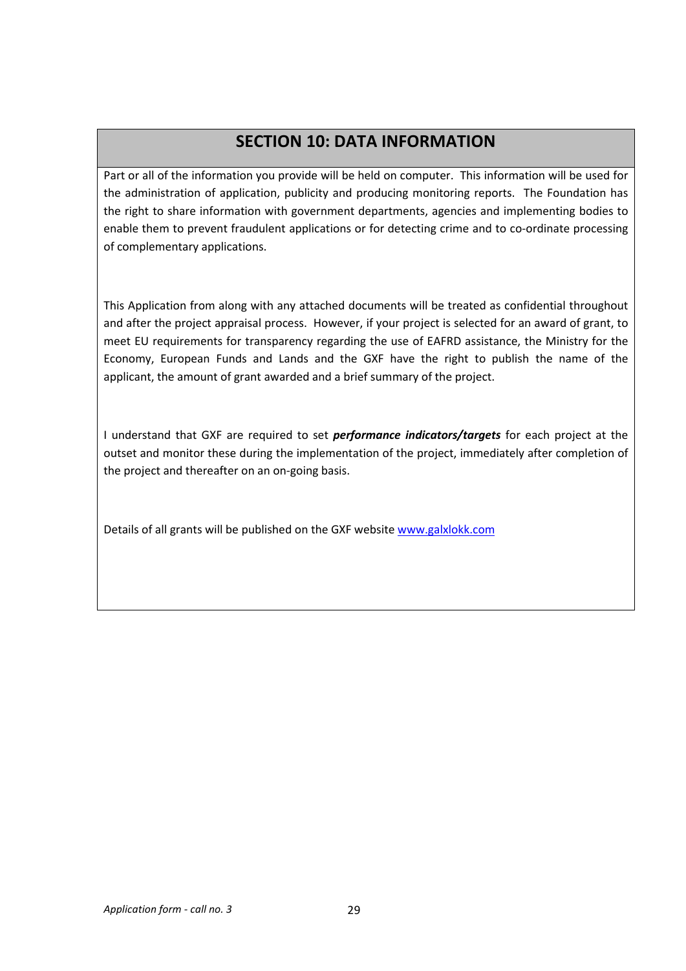## **SECTION 10: DATA INFORMATION**

Part or all of the information you provide will be held on computer. This information will be used for the administration of application, publicity and producing monitoring reports. The Foundation has the right to share information with government departments, agencies and implementing bodies to enable them to prevent fraudulent applications or for detecting crime and to co-ordinate processing of complementary applications.

This Application from along with any attached documents will be treated as confidential throughout and after the project appraisal process. However, if your project is selected for an award of grant, to meet EU requirements for transparency regarding the use of EAFRD assistance, the Ministry for the Economy, European Funds and Lands and the GXF have the right to publish the name of the applicant, the amount of grant awarded and a brief summary of the project.

I understand that GXF are required to set *performance indicators/targets* for each project at the outset and monitor these during the implementation of the project, immediately after completion of the project and thereafter on an on-going basis.

Details of all grants will be published on the GXF website [www.galxlokk.com](http://www.galxlokk.com)